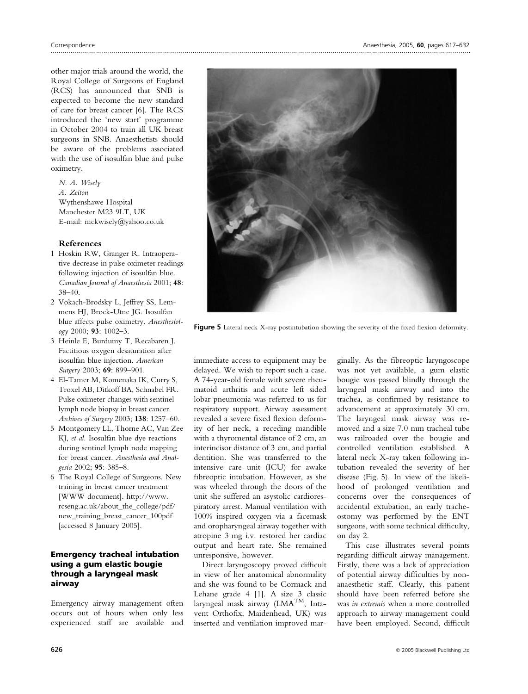other major trials around the world, the Royal College of Surgeons of England (RCS) has announced that SNB is expected to become the new standard of care for breast cancer [6]. The RCS introduced the 'new start' programme in October 2004 to train all UK breast surgeons in SNB. Anaesthetists should be aware of the problems associated with the use of isosulfan blue and pulse oximetry.

N. A. Wisely A. Zeiton Wythenshawe Hospital Manchester M23 9LT, UK E-mail: nickwisely@yahoo.co.uk

## References

- 1 Hoskin RW, Granger R. Intraoperative decrease in pulse oximeter readings following injection of isosulfan blue. Canadian Journal of Anaesthesia 2001; 48: 38–40.
- 2 Vokach-Brodsky L, Jeffrey SS, Lemmens HJ, Brock-Utne JG. Isosulfan blue affects pulse oximetry. Anesthesiology 2000; 93: 1002–3.
- 3 Heinle E, Burdumy T, Recabaren J. Factitious oxygen desaturation after isosulfan blue injection. American Surgery 2003; 69: 899-901.
- 4 El-Tamer M, Komenaka IK, Curry S, Troxel AB, Ditkoff BA, Schnabel FR. Pulse oximeter changes with sentinel lymph node biopsy in breast cancer. Archives of Surgery 2003; 138: 1257–60.
- 5 Montgomery LL, Thorne AC, Van Zee KJ, et al. Isosulfan blue dye reactions during sentinel lymph node mapping for breast cancer. Anesthesia and Analgesia 2002; 95: 385–8.
- 6 The Royal College of Surgeons. New training in breast cancer treatment [WWW document]. http://www. rcseng.ac.uk/about\_the\_college/pdf/ new\_training\_breast\_cancer\_100pdf [accessed 8 January 2005].

## Emergency tracheal intubation using a gum elastic bougie through a laryngeal mask airway

Emergency airway management often occurs out of hours when only less experienced staff are available and



Figure 5 Lateral neck X-ray postintubation showing the severity of the fixed flexion deformity.

immediate access to equipment may be delayed. We wish to report such a case. A 74-year-old female with severe rheumatoid arthritis and acute left sided lobar pneumonia was referred to us for respiratory support. Airway assessment revealed a severe fixed flexion deformity of her neck, a receding mandible with a thyromental distance of 2 cm, an interincisor distance of 3 cm, and partial dentition. She was transferred to the intensive care unit (ICU) for awake fibreoptic intubation. However, as she was wheeled through the doors of the unit she suffered an asystolic cardiorespiratory arrest. Manual ventilation with 100% inspired oxygen via a facemask and oropharyngeal airway together with atropine 3 mg i.v. restored her cardiac output and heart rate. She remained unresponsive, however.

Direct laryngoscopy proved difficult in view of her anatomical abnormality and she was found to be Cormack and Lehane grade 4 [1]. A size 3 classic laryngeal mask airway  $(LMA^{TM}, Inta$ vent Orthofix, Maidenhead, UK) was inserted and ventilation improved mar-

ginally. As the fibreoptic laryngoscope was not yet available, a gum elastic bougie was passed blindly through the laryngeal mask airway and into the trachea, as confirmed by resistance to advancement at approximately 30 cm. The laryngeal mask airway was removed and a size 7.0 mm tracheal tube was railroaded over the bougie and controlled ventilation established. A lateral neck X-ray taken following intubation revealed the severity of her disease (Fig. 5). In view of the likelihood of prolonged ventilation and concerns over the consequences of accidental extubation, an early tracheostomy was performed by the ENT surgeons, with some technical difficulty, on day 2.

This case illustrates several points regarding difficult airway management. Firstly, there was a lack of appreciation of potential airway difficulties by nonanaesthetic staff. Clearly, this patient should have been referred before she was in extremis when a more controlled approach to airway management could have been employed. Second, difficult